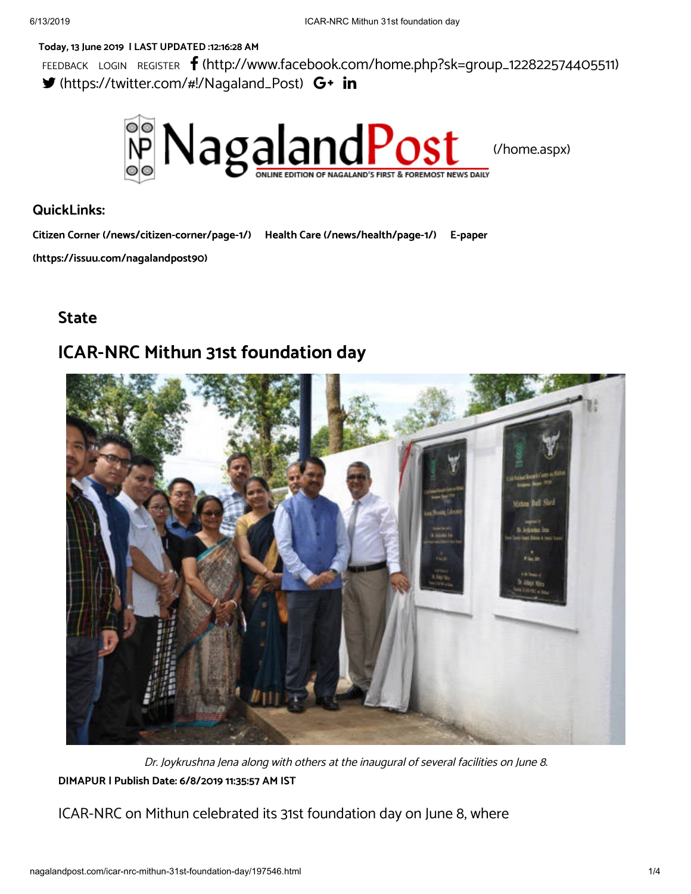### **Today, 13 June 2019 | LAST UPDATED :12:16:28 AM**

FEEDBACK LOGIN REGISTER **f** [\(http://www.facebook.com/home.php?sk=group\\_122822574405511\)](http://www.facebook.com/home.php?sk=group_122822574405511) [\(https://twitter.com/#!/Nagaland\\_Post\)](https://twitter.com/#!/Nagaland_Post)



### **QuickLinks:**

**Citizen Corner [\(/news/citizen-corner/page-1/\)](http://nagalandpost.com/news/citizen-corner/page-1/) Health Care [\(/news/health/page-1/\)](http://nagalandpost.com/news/health/page-1/) E-paper**

**[\(https://issuu.com/nagalandpost90\)](https://issuu.com/nagalandpost90)**

## **State**

# **ICAR-NRC Mithun 31st foundation day**



**DIMAPUR | Publish Date: 6/8/2019 11:35:57 AM IST** Dr. Joykrushna Jena along with others at the inaugural of several facilities on June 8.

ICAR-NRC on Mithun celebrated its 31st foundation day on June 8, where